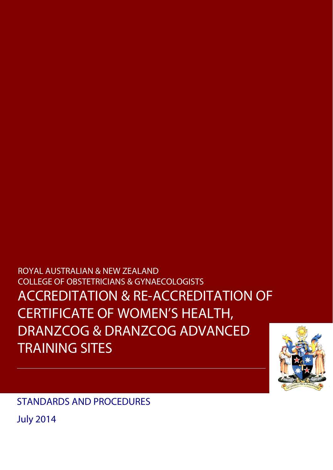**COLLEGE OF OBSTETRICIANS & GYNAECOLOGISTS** Decisions of the CCDOG with respect to assessment of performance shall be final and shall be ACCREDITATION & RE-ACCREDITATION OF damage made by participants as a result of any decision by the CCDOG in relation to assessment  $\mathsf{FRTI}\mathsf{FICATF}\mathsf{OF}$  women's heal thermodynamics and others participation in the participation in the participation in the participation in the participation in the participation in the participation in the participati CERTIFICATE OF WOMEN'S HEALTH, The United States of the United States and the United States of the U DRANZCOG & DRANZCOG ADVANCED ROYAL AUSTRALIAN & NEW ZEALAND TRAINING SITES



STANDARDS AND PROCEDURES

July 2014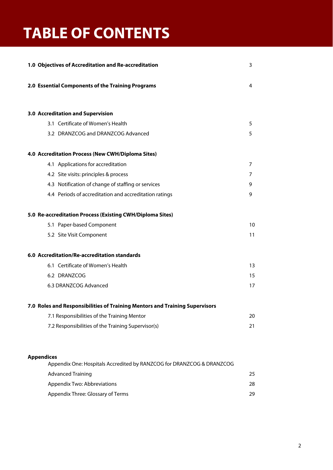# **TABLE OF CONTENTS**

| 1.0 Objectives of Accreditation and Re-accreditation                                       | 3  |
|--------------------------------------------------------------------------------------------|----|
| 2.0 Essential Components of the Training Programs                                          | 4  |
| 3.0 Accreditation and Supervision                                                          |    |
| 3.1 Certificate of Women's Health                                                          | 5  |
| 3.2 DRANZCOG and DRANZCOG Advanced                                                         | 5  |
| 4.0 Accreditation Process (New CWH/Diploma Sites)                                          |    |
| 4.1 Applications for accreditation                                                         | 7  |
| 4.2 Site visits: principles & process                                                      | 7  |
| 4.3 Notification of change of staffing or services                                         | 9  |
| 4.4 Periods of accreditation and accreditation ratings                                     | 9  |
| 5.0 Re-accreditation Process (Existing CWH/Diploma Sites)                                  |    |
| 5.1 Paper-based Component                                                                  | 10 |
| 5.2 Site Visit Component                                                                   | 11 |
| 6.0 Accreditation/Re-accreditation standards                                               |    |
| 6.1 Certificate of Women's Health                                                          | 13 |
| 6.2 DRANZCOG                                                                               | 15 |
| 6.3 DRANZCOG Advanced                                                                      | 17 |
| 7.0 Roles and Responsibilities of Training Mentors and Training Supervisors                |    |
| 7.1 Responsibilities of the Training Mentor                                                | 20 |
| 7.2 Responsibilities of the Training Supervisor(s)                                         | 21 |
|                                                                                            |    |
| <b>Appendices</b><br>Appendix One: Hospitals Accredited by RANZCOG for DRANZCOG & DRANZCOG |    |
| <b>Advanced Training</b>                                                                   | 25 |
| Appendix Two: Abbreviations                                                                | 28 |
| Appendix Three: Glossary of Terms                                                          | 29 |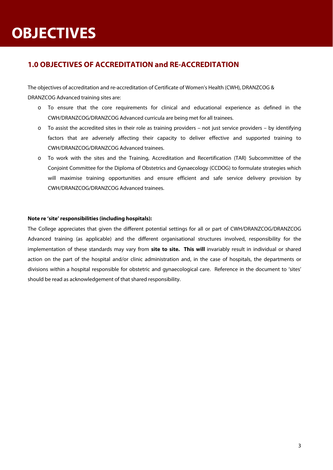# **OBJECTIVES**

# **1.0 OBJECTIVES OF ACCREDITATION and RE-ACCREDITATION**

The objectives of accreditation and re-accreditation of Certificate of Women's Health (CWH), DRANZCOG & DRANZCOG Advanced training sites are:

- o To ensure that the core requirements for clinical and educational experience as defined in the CWH/DRANZCOG/DRANZCOG Advanced curricula are being met for all trainees.
- $\circ$  To assist the accredited sites in their role as training providers not just service providers by identifying factors that are adversely affecting their capacity to deliver effective and supported training to CWH/DRANZCOG/DRANZCOG Advanced trainees.
- o To work with the sites and the Training, Accreditation and Recertification (TAR) Subcommittee of the Conjoint Committee for the Diploma of Obstetrics and Gynaecology (CCDOG) to formulate strategies which will maximise training opportunities and ensure efficient and safe service delivery provision by CWH/DRANZCOG/DRANZCOG Advanced trainees.

## **Note re 'site' responsibilities (including hospitals):**

The College appreciates that given the different potential settings for all or part of CWH/DRANZCOG/DRANZCOG Advanced training (as applicable) and the different organisational structures involved, responsibility for the implementation of these standards may vary from **site to site. This will** invariably result in individual or shared action on the part of the hospital and/or clinic administration and, in the case of hospitals, the departments or divisions within a hospital responsible for obstetric and gynaecological care. Reference in the document to 'sites' should be read as acknowledgement of that shared responsibility.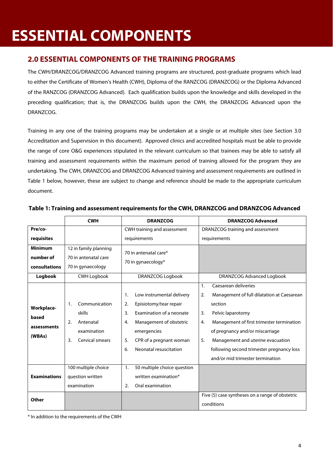# **ESSENTIAL COMPONENTS**

## **2.0 ESSENTIAL COMPONENTS OF THE TRAINING PROGRAMS**

The CWH/DRANZCOG/DRANZCOG Advanced training programs are structured, post-graduate programs which lead to either the Certificate of Women's Health (CWH), Diploma of the RANZCOG (DRANZCOG) or the Diploma Advanced of the RANZCOG (DRANZCOG Advanced). Each qualification builds upon the knowledge and skills developed in the preceding qualification; that is, the DRANZCOG builds upon the CWH, the DRANZCOG Advanced upon the DRANZCOG.

Training in any one of the training programs may be undertaken at a single or at multiple sites (see Section 3.0 Accreditation and Supervision in this document). Approved clinics and accredited hospitals must be able to provide the range of core O&G experiences stipulated in the relevant curriculum so that trainees may be able to satisfy all training and assessment requirements within the maximum period of training allowed for the program they are undertaking. The CWH, DRANZCOG and DRANZCOG Advanced training and assessment requirements are outlined in Table 1 below, however, these are subject to change and reference should be made to the appropriate curriculum document.

|                                              | <b>CWH</b>                                                                               | <b>DRANZCOG</b>                                                                                                                                                                                                    | <b>DRANZCOG Advanced</b>                                                                                                                                                                                                                                                                                                               |  |
|----------------------------------------------|------------------------------------------------------------------------------------------|--------------------------------------------------------------------------------------------------------------------------------------------------------------------------------------------------------------------|----------------------------------------------------------------------------------------------------------------------------------------------------------------------------------------------------------------------------------------------------------------------------------------------------------------------------------------|--|
| Pre/co-                                      |                                                                                          | CWH training and assessment                                                                                                                                                                                        | DRANZCOG training and assessment                                                                                                                                                                                                                                                                                                       |  |
| requisites                                   |                                                                                          | requirements                                                                                                                                                                                                       | requirements                                                                                                                                                                                                                                                                                                                           |  |
| <b>Minimum</b><br>number of<br>consultations | 12 in family planning<br>70 in antenatal care<br>70 in gynaecology                       | 70 in antenatal care*<br>70 in gynaecology*                                                                                                                                                                        |                                                                                                                                                                                                                                                                                                                                        |  |
| Logbook                                      | <b>CWH Logbook</b>                                                                       | <b>DRANZCOG Logbook</b>                                                                                                                                                                                            | DRANZCOG Advanced Logbook                                                                                                                                                                                                                                                                                                              |  |
| Workplace-<br>based<br>assessments<br>(WBAs) | Communication<br>1.<br>skills<br>Antenatal<br>2.<br>examination<br>Cervical smears<br>3. | Low instrumental delivery<br>1.<br>Episiotomy/tear repair<br>2.<br>Examination of a neonate<br>3.<br>Management of obstetric<br>4.<br>emergencies<br>CPR of a pregnant woman<br>5.<br>Neonatal resuscitation<br>6. | Caesarean deliveries<br>1.<br>Management of full dilatation at Caesarean<br>2.<br>section<br>Pelvic laparotomy<br>3.<br>Management of first trimester termination<br>4.<br>of pregnancy and/or miscarriage<br>5.<br>Management and uterine evacuation<br>following second trimester pregnancy loss<br>and/or mid trimester termination |  |
| <b>Examinations</b>                          | 100 multiple choice<br>question written<br>examination                                   | 50 multiple choice question<br>$\mathbf{1}$ .<br>written examination*<br>Oral examination<br>2.                                                                                                                    |                                                                                                                                                                                                                                                                                                                                        |  |
| Other                                        |                                                                                          |                                                                                                                                                                                                                    | Five (5) case syntheses on a range of obstetric<br>conditions                                                                                                                                                                                                                                                                          |  |

## **Table 1: Training and assessment requirements for the CWH, DRANZCOG and DRANZCOG Advanced**

\* In addition to the requirements of the CWH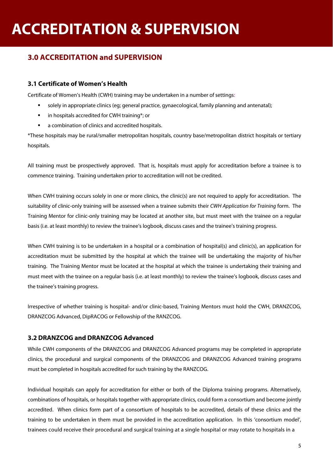# **3.0 ACCREDITATION and SUPERVISION**

## **3.1 Certificate of Women's Health**

Certificate of Women's Health (CWH) training may be undertaken in a number of settings:

- solely in appropriate clinics (eg; general practice, gynaecological, family planning and antenatal);
- **in hospitals accredited for CWH training\*; or**
- a combination of clinics and accredited hospitals.

\*These hospitals may be rural/smaller metropolitan hospitals, country base/metropolitan district hospitals or tertiary hospitals.

All training must be prospectively approved. That is, hospitals must apply for accreditation before a trainee is to commence training. Training undertaken prior to accreditation will not be credited.

When CWH training occurs solely in one or more clinics, the clinic(s) are not required to apply for accreditation. The suitability of clinic-only training will be assessed when a trainee submits their CWH Application for Training form. The Training Mentor for clinic-only training may be located at another site, but must meet with the trainee on a regular basis (i.e. at least monthly) to review the trainee's logbook, discuss cases and the trainee's training progress.

When CWH training is to be undertaken in a hospital or a combination of hospital(s) and clinic(s), an application for accreditation must be submitted by the hospital at which the trainee will be undertaking the majority of his/her training. The Training Mentor must be located at the hospital at which the trainee is undertaking their training and must meet with the trainee on a regular basis (i.e. at least monthly) to review the trainee's logbook, discuss cases and the trainee's training progress.

Irrespective of whether training is hospital- and/or clinic-based, Training Mentors must hold the CWH, DRANZCOG, DRANZCOG Advanced, DipRACOG or Fellowship of the RANZCOG.

## **3.2 DRANZCOG and DRANZCOG Advanced**

While CWH components of the DRANZCOG and DRANZCOG Advanced programs may be completed in appropriate clinics, the procedural and surgical components of the DRANZCOG and DRANZCOG Advanced training programs must be completed in hospitals accredited for such training by the RANZCOG.

Individual hospitals can apply for accreditation for either or both of the Diploma training programs. Alternatively, combinations of hospitals, or hospitals together with appropriate clinics, could form a consortium and become jointly accredited. When clinics form part of a consortium of hospitals to be accredited, details of these clinics and the training to be undertaken in them must be provided in the accreditation application. In this 'consortium model', trainees could receive their procedural and surgical training at a single hospital or may rotate to hospitals in a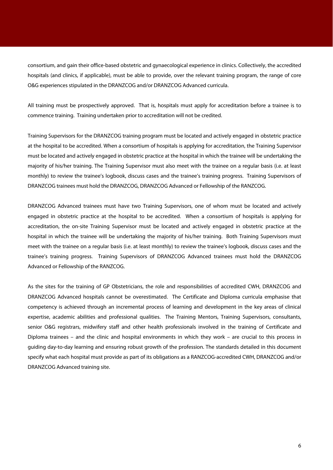consortium, and gain their office-based obstetric and gynaecological experience in clinics. Collectively, the accredited hospitals (and clinics, if applicable), must be able to provide, over the relevant training program, the range of core O&G experiences stipulated in the DRANZCOG and/or DRANZCOG Advanced curricula.

All training must be prospectively approved. That is, hospitals must apply for accreditation before a trainee is to commence training. Training undertaken prior to accreditation will not be credited.

Training Supervisors for the DRANZCOG training program must be located and actively engaged in obstetric practice at the hospital to be accredited. When a consortium of hospitals is applying for accreditation, the Training Supervisor must be located and actively engaged in obstetric practice at the hospital in which the trainee will be undertaking the majority of his/her training. The Training Supervisor must also meet with the trainee on a regular basis (i.e. at least monthly) to review the trainee's logbook, discuss cases and the trainee's training progress. Training Supervisors of DRANZCOG trainees must hold the DRANZCOG, DRANZCOG Advanced or Fellowship of the RANZCOG.

DRANZCOG Advanced trainees must have two Training Supervisors, one of whom must be located and actively engaged in obstetric practice at the hospital to be accredited. When a consortium of hospitals is applying for accreditation, the on-site Training Supervisor must be located and actively engaged in obstetric practice at the hospital in which the trainee will be undertaking the majority of his/her training. Both Training Supervisors must meet with the trainee on a regular basis (i.e. at least monthly) to review the trainee's logbook, discuss cases and the trainee's training progress. Training Supervisors of DRANZCOG Advanced trainees must hold the DRANZCOG Advanced or Fellowship of the RANZCOG.

As the sites for the training of GP Obstetricians, the role and responsibilities of accredited CWH, DRANZCOG and DRANZCOG Advanced hospitals cannot be overestimated. The Certificate and Diploma curricula emphasise that competency is achieved through an incremental process of learning and development in the key areas of clinical expertise, academic abilities and professional qualities. The Training Mentors, Training Supervisors, consultants, senior O&G registrars, midwifery staff and other health professionals involved in the training of Certificate and Diploma trainees – and the clinic and hospital environments in which they work – are crucial to this process in guiding day-to-day learning and ensuring robust growth of the profession. The standards detailed in this document specify what each hospital must provide as part of its obligations as a RANZCOG-accredited CWH, DRANZCOG and/or DRANZCOG Advanced training site.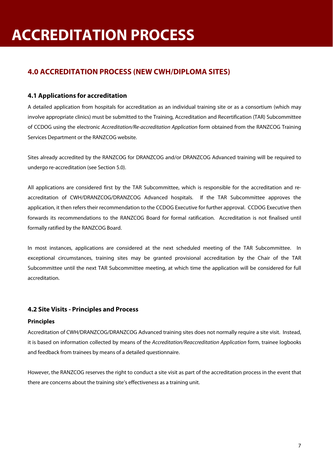# **4.0 ACCREDITATION PROCESS (NEW CWH/DIPLOMA SITES)**

## **4.1 Applications for accreditation**

A detailed application from hospitals for accreditation as an individual training site or as a consortium (which may involve appropriate clinics) must be submitted to the Training, Accreditation and Recertification (TAR) Subcommittee of CCDOG using the electronic Accreditation/Re-accreditation Application form obtained from the RANZCOG Training Services Department or the RANZCOG website.

Sites already accredited by the RANZCOG for DRANZCOG and/or DRANZCOG Advanced training will be required to undergo re-accreditation (see Section 5.0).

All applications are considered first by the TAR Subcommittee, which is responsible for the accreditation and reaccreditation of CWH/DRANZCOG/DRANZCOG Advanced hospitals. If the TAR Subcommittee approves the application, it then refers their recommendation to the CCDOG Executive for further approval. CCDOG Executive then forwards its recommendations to the RANZCOG Board for formal ratification. Accreditation is not finalised until formally ratified by the RANZCOG Board.

In most instances, applications are considered at the next scheduled meeting of the TAR Subcommittee. In exceptional circumstances, training sites may be granted provisional accreditation by the Chair of the TAR Subcommittee until the next TAR Subcommittee meeting, at which time the application will be considered for full accreditation.

## **4.2 Site Visits - Principles and Process**

## **Principles**

Accreditation of CWH/DRANZCOG/DRANZCOG Advanced training sites does not normally require a site visit. Instead, it is based on information collected by means of the Accreditation/Reaccreditation Application form, trainee logbooks and feedback from trainees by means of a detailed questionnaire.

However, the RANZCOG reserves the right to conduct a site visit as part of the accreditation process in the event that there are concerns about the training site's effectiveness as a training unit.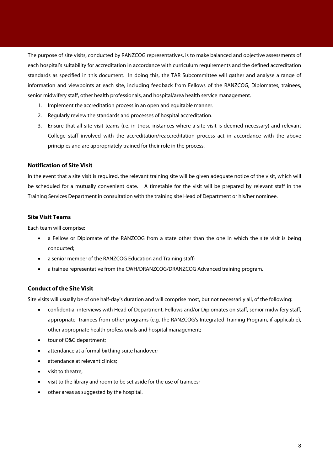The purpose of site visits, conducted by RANZCOG representatives, is to make balanced and objective assessments of each hospital's suitability for accreditation in accordance with curriculum requirements and the defined accreditation standards as specified in this document. In doing this, the TAR Subcommittee will gather and analyse a range of information and viewpoints at each site, including feedback from Fellows of the RANZCOG, Diplomates, trainees, senior midwifery staff, other health professionals, and hospital/area health service management.

- 1. Implement the accreditation process in an open and equitable manner.
- 2. Regularly review the standards and processes of hospital accreditation.
- 3. Ensure that all site visit teams (i.e. in those instances where a site visit is deemed necessary) and relevant College staff involved with the accreditation/reaccreditation process act in accordance with the above principles and are appropriately trained for their role in the process.

### **Notification of Site Visit**

In the event that a site visit is required, the relevant training site will be given adequate notice of the visit, which will be scheduled for a mutually convenient date. A timetable for the visit will be prepared by relevant staff in the Training Services Department in consultation with the training site Head of Department or his/her nominee.

### **Site Visit Teams**

Each team will comprise:

- a Fellow or Diplomate of the RANZCOG from a state other than the one in which the site visit is being conducted;
- a senior member of the RANZCOG Education and Training staff;
- a trainee representative from the CWH/DRANZCOG/DRANZCOG Advanced training program.

## **Conduct of the Site Visit**

Site visits will usually be of one half-day's duration and will comprise most, but not necessarily all, of the following:

- confidential interviews with Head of Department, Fellows and/or Diplomates on staff, senior midwifery staff, appropriate trainees from other programs (e.g. the RANZCOG's Integrated Training Program, if applicable), other appropriate health professionals and hospital management;
- tour of O&G department;
- attendance at a formal birthing suite handover;
- attendance at relevant clinics;
- visit to theatre;
- visit to the library and room to be set aside for the use of trainees;
- other areas as suggested by the hospital.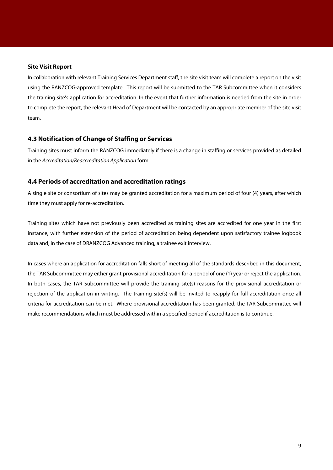#### **Site Visit Report**

In collaboration with relevant Training Services Department staff, the site visit team will complete a report on the visit using the RANZCOG-approved template. This report will be submitted to the TAR Subcommittee when it considers the training site's application for accreditation. In the event that further information is needed from the site in order to complete the report, the relevant Head of Department will be contacted by an appropriate member of the site visit team.

## **4.3 Notification of Change of Staffing or Services**

Training sites must inform the RANZCOG immediately if there is a change in staffing or services provided as detailed in the Accreditation/Reaccreditation Application form.

## **4.4 Periods of accreditation and accreditation ratings**

A single site or consortium of sites may be granted accreditation for a maximum period of four (4) years, after which time they must apply for re-accreditation.

Training sites which have not previously been accredited as training sites are accredited for one year in the first instance, with further extension of the period of accreditation being dependent upon satisfactory trainee logbook data and, in the case of DRANZCOG Advanced training, a trainee exit interview.

In cases where an application for accreditation falls short of meeting all of the standards described in this document, the TAR Subcommittee may either grant provisional accreditation for a period of one (1) year or reject the application. In both cases, the TAR Subcommittee will provide the training site(s) reasons for the provisional accreditation or rejection of the application in writing. The training site(s) will be invited to reapply for full accreditation once all criteria for accreditation can be met. Where provisional accreditation has been granted, the TAR Subcommittee will make recommendations which must be addressed within a specified period if accreditation is to continue.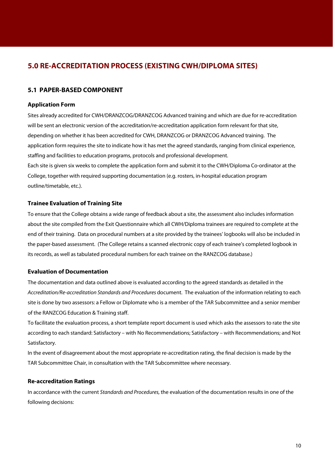## **5.0 RE-ACCREDITATION PROCESS (EXISTING CWH/DIPLOMA SITES)**

## **5.1 PAPER-BASED COMPONENT**

### **Application Form**

Sites already accredited for CWH/DRANZCOG/DRANZCOG Advanced training and which are due for re-accreditation will be sent an electronic version of the accreditation/re-accreditation application form relevant for that site, depending on whether it has been accredited for CWH, DRANZCOG or DRANZCOG Advanced training. The application form requires the site to indicate how it has met the agreed standards, ranging from clinical experience, staffing and facilities to education programs, protocols and professional development. Each site is given six weeks to complete the application form and submit it to the CWH/Diploma Co-ordinator at the College, together with required supporting documentation (e.g. rosters, in-hospital education program outline/timetable, etc.).

#### **Trainee Evaluation of Training Site**

To ensure that the College obtains a wide range of feedback about a site, the assessment also includes information about the site compiled from the Exit Questionnaire which all CWH/Diploma trainees are required to complete at the end of their training. Data on procedural numbers at a site provided by the trainees' logbooks will also be included in the paper-based assessment. (The College retains a scanned electronic copy of each trainee's completed logbook in its records, as well as tabulated procedural numbers for each trainee on the RANZCOG database.)

### **Evaluation of Documentation**

The documentation and data outlined above is evaluated according to the agreed standards as detailed in the Accreditation/Re-accreditation Standards and Procedures document. The evaluation of the information relating to each site is done by two assessors: a Fellow or Diplomate who is a member of the TAR Subcommittee and a senior member of the RANZCOG Education & Training staff.

To facilitate the evaluation process, a short template report document is used which asks the assessors to rate the site according to each standard: Satisfactory – with No Recommendations; Satisfactory – with Recommendations; and Not Satisfactory.

In the event of disagreement about the most appropriate re-accreditation rating, the final decision is made by the TAR Subcommittee Chair, in consultation with the TAR Subcommittee where necessary.

## **Re-accreditation Ratings**

In accordance with the current Standards and Procedures, the evaluation of the documentation results in one of the following decisions: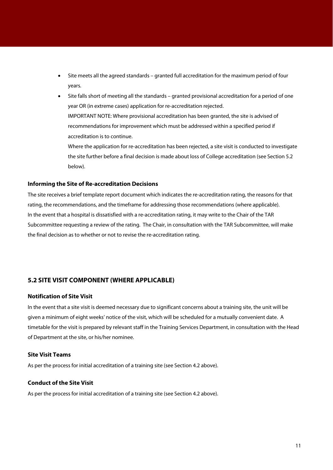- Site meets all the agreed standards granted full accreditation for the maximum period of four years.
- Site falls short of meeting all the standards granted provisional accreditation for a period of one year OR (in extreme cases) application for re-accreditation rejected. IMPORTANT NOTE: Where provisional accreditation has been granted, the site is advised of recommendations for improvement which must be addressed within a specified period if accreditation is to continue.
	- Where the application for re-accreditation has been rejected, a site visit is conducted to investigate the site further before a final decision is made about loss of College accreditation (see Section 5.2 below).

#### **Informing the Site of Re-accreditation Decisions**

The site receives a brief template report document which indicates the re-accreditation rating, the reasons for that rating, the recommendations, and the timeframe for addressing those recommendations (where applicable). In the event that a hospital is dissatisfied with a re-accreditation rating, it may write to the Chair of the TAR Subcommittee requesting a review of the rating. The Chair, in consultation with the TAR Subcommittee, will make the final decision as to whether or not to revise the re-accreditation rating.

## **5.2 SITE VISIT COMPONENT (WHERE APPLICABLE)**

#### **Notification of Site Visit**

In the event that a site visit is deemed necessary due to significant concerns about a training site, the unit will be given a minimum of eight weeks' notice of the visit, which will be scheduled for a mutually convenient date. A timetable for the visit is prepared by relevant staff in the Training Services Department, in consultation with the Head of Department at the site, or his/her nominee.

## **Site Visit Teams**

As per the process for initial accreditation of a training site (see Section 4.2 above).

## **Conduct of the Site Visit**

As per the process for initial accreditation of a training site (see Section 4.2 above).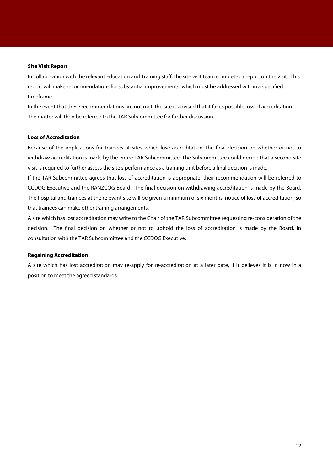#### **Site Visit Report**

In collaboration with the relevant Education and Training staff, the site visit team completes a report on the visit. This report will make recommendations for substantial improvements, which must be addressed within a specified timeframe.

In the event that these recommendations are not met, the site is advised that it faces possible loss of accreditation. The matter will then be referred to the TAR Subcommittee for further discussion.

#### **Loss of Accreditation**

Because of the implications for trainees at sites which lose accreditation, the final decision on whether or not to withdraw accreditation is made by the entire TAR Subcommittee. The Subcommittee could decide that a second site visit is required to further assess the site's performance as a training unit before a final decision is made.

If the TAR Subcommittee agrees that loss of accreditation is appropriate, their recommendation will be referred to CCDOG Executive and the RANZCOG Board. The final decision on withdrawing accreditation is made by the Board. The hospital and trainees at the relevant site will be given a minimum of six months' notice of loss of accreditation, so that trainees can make other training arrangements.

A site which has lost accreditation may write to the Chair of the TAR Subcommittee requesting re-consideration of the decision. The final decision on whether or not to uphold the loss of accreditation is made by the Board, in consultation with the TAR Subcommittee and the CCDOG Executive.

#### **Regaining Accreditation**

A site which has lost accreditation may re-apply for re-accreditation at a later date, if it believes it is in now in a position to meet the agreed standards.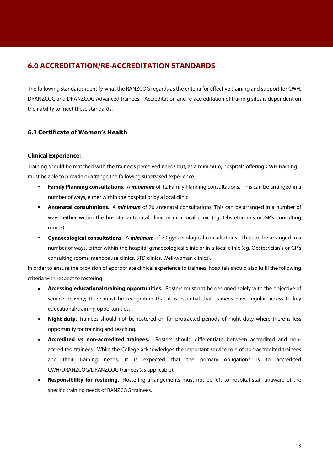## **6.0 ACCREDITATION/RE-ACCREDITATION STANDARDS**

The following standards identify what the RANZCOG regards as the criteria for effective training and support for CWH, DRANZCOG and DRANZCOG Advanced trainees. Accreditation and re-accreditation of training sites is dependent on their ability to meet these standards.

## **6.1 Certificate of Women's Health**

## **Clinical Experience:**

Training should be matched with the trainee's perceived needs but, as a minimum, hospitals offering CWH training must be able to provide or arrange the following supervised experience:

- **Family Planning consultations**. A **minimum** of 12 Family Planning consultations. This can be arranged in a number of ways, either within the hospital or by a local clinic.
- **Antenatal consultations**. A **minimum** of 70 antenatal consultations. This can be arranged in a number of ways, either within the hospital antenatal clinic or in a local clinic (eg. Obstetrician's or GP's consulting rooms).
- **Gynaecological consultations**. A **minimum** of 70 gynaecological consultations. This can be arranged in a number of ways, either within the hospital gynaecological clinic or in a local clinic (eg. Obstetrician's or GP's consulting rooms, menopause clinics, STD clinics, Well-woman clinics).

In order to ensure the provision of appropriate clinical experience to trainees, hospitals should also fulfil the following criteria with respect to rostering.

- **Accessing educational/training opportunities.** Rosters must not be designed solely with the objective of service delivery; there must be recognition that it is essential that trainees have regular access to key educational/training opportunities.
- **Night duty.** Trainees should not be rostered on for protracted periods of night duty where there is less opportunity for training and teaching.
- **Accredited vs non-accredited trainees.** Rosters should differentiate between accredited and nonaccredited trainees. While the College acknowledges the important service role of non-accredited trainees and their training needs, it is expected that the primary obligations is to accredited CWH/DRANZCOG/DRANZCOG trainees (as applicable).
- **Responsibility for rostering.** Rostering arrangements must not be left to hospital staff unaware of the specific training needs of RANZCOG trainees.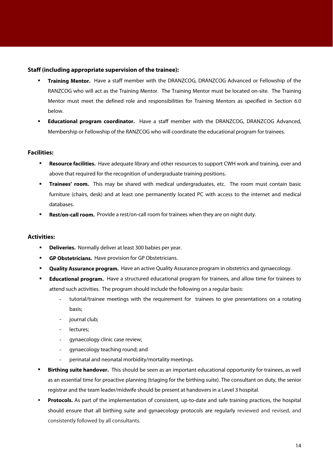### **Staff (including appropriate supervision of the trainee):**

- **Training Mentor.** Have a staff member with the DRANZCOG, DRANZCOG Advanced or Fellowship of the RANZCOG who will act as the Training Mentor. The Training Mentor must be located on-site. The Training Mentor must meet the defined role and responsibilities for Training Mentors as specified in Section 6.0 below.
- **Educational program coordinator.** Have a staff member with the DRANZCOG, DRANZCOG Advanced, Membership or Fellowship of the RANZCOG who will coordinate the educational program for trainees.

### **Facilities:**

- **Resource facilities.** Have adequate library and other resources to support CWH work and training, over and above that required for the recognition of undergraduate training positions.
- **Trainees' room.** This may be shared with medical undergraduates, etc. The room must contain basic furniture (chairs, desk) and at least one permanently located PC with access to the internet and medical databases.
- **Rest/on-call room.** Provide a rest/on-call room for trainees when they are on night duty.

### **Activities:**

- **Deliveries.** Normally deliver at least 300 babies per year.
- **GP Obstetricians.** Have provision for GP Obstetricians.
- **Quality Assurance program.** Have an active Quality Assurance program in obstetrics and gynaecology.
- **Educational program.** Have a structured educational program for trainees, and allow time for trainees to attend such activities. The program should include the following on a regular basis:
	- tutorial/trainee meetings with the requirement for trainees to give presentations on a rotating basis;
	- journal club;
	- lectures;
	- gynaecology clinic case review;
	- gynaecology teaching round; and
	- perinatal and neonatal morbidity/mortality meetings.
- **Birthing suite handover.** This should be seen as an important educational opportunity for trainees, as well as an essential time for proactive planning (triaging for the birthing suite). The consultant on duty, the senior registrar and the team leader/midwife should be present at handovers in a Level 3 hospital.
- **Protocols.** As part of the implementation of consistent, up-to-date and safe training practices, the hospital should ensure that all birthing suite and gynaecology protocols are regularly reviewed and revised, and consistently followed by all consultants.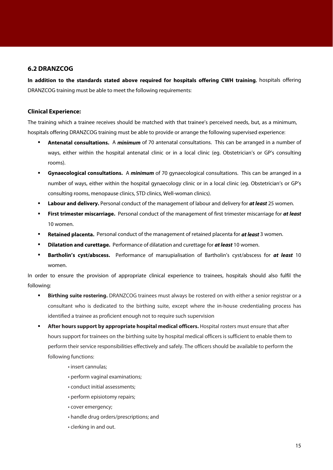## **6.2 DRANZCOG**

**In addition to the standards stated above required for hospitals offering CWH training**, hospitals offering DRANZCOG training must be able to meet the following requirements:

## **Clinical Experience:**

The training which a trainee receives should be matched with that trainee's perceived needs, but, as a minimum, hospitals offering DRANZCOG training must be able to provide or arrange the following supervised experience:

- **Antenatal consultations.** A **minimum** of 70 antenatal consultations. This can be arranged in a number of ways, either within the hospital antenatal clinic or in a local clinic (eg. Obstetrician's or GP's consulting rooms).
- **Gynaecological consultations.** A **minimum** of 70 gynaecological consultations. This can be arranged in a number of ways, either within the hospital gynaecology clinic or in a local clinic (eg. Obstetrician's or GP's consulting rooms, menopause clinics, STD clinics, Well-woman clinics).
- **Labour and delivery.** Personal conduct of the management of labour and delivery for at least 25 women.
- **First trimester miscarriage.** Personal conduct of the management of first trimester miscarriage for **at least**  10 women.
- **Retained placenta.** Personal conduct of the management of retained placenta for **at least** 3 women.
- **Dilatation and curettage.** Performance of dilatation and curettage for **at least** 10 women.
- **Bartholin's cyst/abscess.** Performance of marsupialisation of Bartholin's cyst/abscess for **at least** 10 women.

In order to ensure the provision of appropriate clinical experience to trainees, hospitals should also fulfil the following:

- **Birthing suite rostering.** DRANZCOG trainees must always be rostered on with either a senior registrar or a consultant who is dedicated to the birthing suite, except where the in-house credentialing process has identified a trainee as proficient enough not to require such supervision
- **After hours support by appropriate hospital medical officers.** Hospital rosters must ensure that after hours support for trainees on the birthing suite by hospital medical officers is sufficient to enable them to perform their service responsibilities effectively and safely. The officers should be available to perform the following functions:
	- insert cannulas;
	- perform vaginal examinations;
	- conduct initial assessments;
	- perform episiotomy repairs;
	- cover emergency;
	- handle drug orders/prescriptions; and
	- clerking in and out.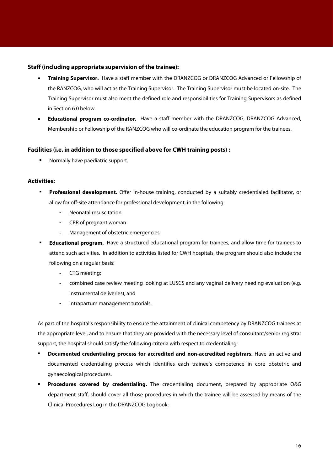### **Staff (including appropriate supervision of the trainee):**

- **Training Supervisor.** Have a staff member with the DRANZCOG or DRANZCOG Advanced or Fellowship of the RANZCOG, who will act as the Training Supervisor. The Training Supervisor must be located on-site. The Training Supervisor must also meet the defined role and responsibilities for Training Supervisors as defined in Section 6.0 below.
- **Educational program co-ordinator.** Have a staff member with the DRANZCOG, DRANZCOG Advanced, Membership or Fellowship of the RANZCOG who will co-ordinate the education program for the trainees.

### **Facilities (i.e. in addition to those specified above for CWH training posts) :**

Normally have paediatric support.

## **Activities:**

- **Professional development.** Offer in-house training, conducted by a suitably credentialed facilitator, or allow for off-site attendance for professional development, in the following:
	- Neonatal resuscitation
	- CPR of pregnant woman
	- Management of obstetric emergencies
- **Educational program.** Have a structured educational program for trainees, and allow time for trainees to attend such activities. In addition to activities listed for CWH hospitals, the program should also include the following on a regular basis:
	- CTG meeting;
	- combined case review meeting looking at LUSCS and any vaginal delivery needing evaluation (e.g. instrumental deliveries), and
	- intrapartum management tutorials.

As part of the hospital's responsibility to ensure the attainment of clinical competency by DRANZCOG trainees at the appropriate level, and to ensure that they are provided with the necessary level of consultant/senior registrar support, the hospital should satisfy the following criteria with respect to credentialing:

- **Documented credentialing process for accredited and non-accredited registrars.** Have an active and documented credentialing process which identifies each trainee's competence in core obstetric and gynaecological procedures.
- **Procedures covered by credentialing.** The credentialing document, prepared by appropriate O&G department staff, should cover all those procedures in which the trainee will be assessed by means of the Clinical Procedures Log in the DRANZCOG Logbook: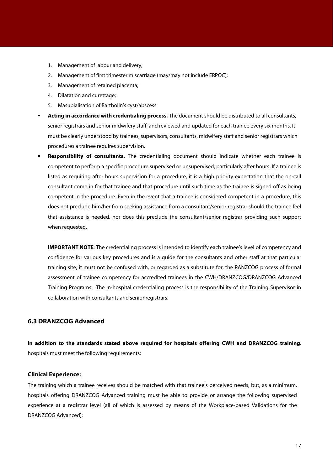- 1. Management of labour and delivery;
- 2. Management of first trimester miscarriage (may/may not include ERPOC);
- 3. Management of retained placenta;
- 4. Dilatation and curettage;
- 5. Masupialisation of Bartholin's cyst/abscess.
- **Acting in accordance with credentialing process.** The document should be distributed to all consultants, senior registrars and senior midwifery staff, and reviewed and updated for each trainee every six months. It must be clearly understood by trainees, supervisors, consultants, midwifery staff and senior registrars which procedures a trainee requires supervision.
- **Responsibility of consultants.** The credentialing document should indicate whether each trainee is competent to perform a specific procedure supervised or unsupervised, particularly after hours. If a trainee is listed as requiring after hours supervision for a procedure, it is a high priority expectation that the on-call consultant come in for that trainee and that procedure until such time as the trainee is signed off as being competent in the procedure. Even in the event that a trainee is considered competent in a procedure, this does not preclude him/her from seeking assistance from a consultant/senior registrar should the trainee feel that assistance is needed, nor does this preclude the consultant/senior registrar providing such support when requested.

**IMPORTANT NOTE:** The credentialing process is intended to identify each trainee's level of competency and confidence for various key procedures and is a guide for the consultants and other staff at that particular training site; it must not be confused with, or regarded as a substitute for, the RANZCOG process of formal assessment of trainee competency for accredited trainees in the CWH/DRANZCOG/DRANZCOG Advanced Training Programs. The in-hospital credentialing process is the responsibility of the Training Supervisor in collaboration with consultants and senior registrars.

## **6.3 DRANZCOG Advanced**

**In addition to the standards stated above required for hospitals offering CWH and DRANZCOG training**, hospitals must meet the following requirements:

#### **Clinical Experience:**

The training which a trainee receives should be matched with that trainee's perceived needs, but, as a minimum, hospitals offering DRANZCOG Advanced training must be able to provide or arrange the following supervised experience at a registrar level (all of which is assessed by means of the Workplace-based Validations for the DRANZCOG Advanced):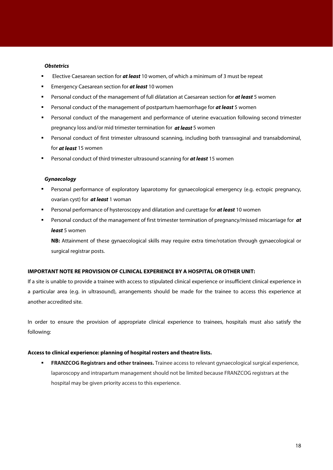#### **Obstetrics**

- Elective Caesarean section for **at least** 10 women, of which a minimum of 3 must be repeat
- **Emergency Caesarean section for at least 10 women**
- Personal conduct of the management of full dilatation at Caesarean section for **at least** 5 women
- Personal conduct of the management of postpartum haemorrhage for **at least** 5 women
- Personal conduct of the management and performance of uterine evacuation following second trimester pregnancy loss and/or mid trimester termination for **at least** 5 women
- Personal conduct of first trimester ultrasound scanning, including both transvaginal and transabdominal, for **at least** 15 women
- Personal conduct of third trimester ultrasound scanning for **at least** 15 women

#### **Gynaecology**

- Personal performance of exploratory laparotomy for gynaecological emergency (e.g. ectopic pregnancy, ovarian cyst) for **at least** 1 woman
- Personal performance of hysteroscopy and dilatation and curettage for **at least** 10 women
- Personal conduct of the management of first trimester termination of pregnancy/missed miscarriage for **at least** 5 women

**NB:** Attainment of these gynaecological skills may require extra time/rotation through gynaecological or surgical registrar posts.

## **IMPORTANT NOTE RE PROVISION OF CLINICAL EXPERIENCE BY A HOSPITAL OR OTHER UNIT:**

If a site is unable to provide a trainee with access to stipulated clinical experience or insufficient clinical experience in a particular area (e.g. in ultrasound), arrangements should be made for the trainee to access this experience at another accredited site.

In order to ensure the provision of appropriate clinical experience to trainees, hospitals must also satisfy the following:

#### **Access to clinical experience: planning of hospital rosters and theatre lists.**

 **FRANZCOG Registrars and other trainees.** Trainee access to relevant gynaecological surgical experience, laparoscopy and intrapartum management should not be limited because FRANZCOG registrars at the hospital may be given priority access to this experience.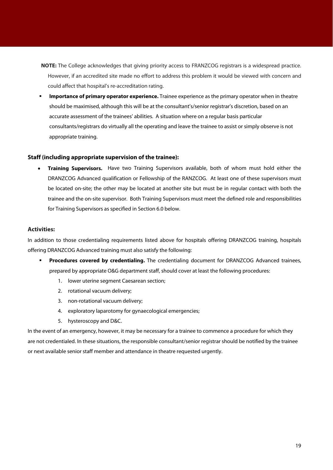- **NOTE:** The College acknowledges that giving priority access to FRANZCOG registrars is a widespread practice. However, if an accredited site made no effort to address this problem it would be viewed with concern and could affect that hospital's re-accreditation rating.
- **Importance of primary operator experience.** Trainee experience as the primary operator when in theatre should be maximised, although this will be at the consultant's/senior registrar's discretion, based on an accurate assessment of the trainees' abilities. A situation where on a regular basis particular consultants/registrars do virtually all the operating and leave the trainee to assist or simply observe is not appropriate training.

#### **Staff (including appropriate supervision of the trainee):**

 **Training Supervisors.** Have two Training Supervisors available, both of whom must hold either the DRANZCOG Advanced qualification or Fellowship of the RANZCOG. At least one of these supervisors must be located on-site; the other may be located at another site but must be in regular contact with both the trainee and the on-site supervisor. Both Training Supervisors must meet the defined role and responsibilities for Training Supervisors as specified in Section 6.0 below.

## **Activities:**

In addition to those credentialing requirements listed above for hospitals offering DRANZCOG training, hospitals offering DRANZCOG Advanced training must also satisfy the following:

- **Procedures covered by credentialing.** The credentialing document for DRANZCOG Advanced trainees, prepared by appropriate O&G department staff, should cover at least the following procedures:
	- 1. lower uterine segment Caesarean section;
	- 2. rotational vacuum delivery;
	- 3. non-rotational vacuum delivery;
	- 4. exploratory laparotomy for gynaecological emergencies;
	- 5. hysteroscopy and D&C.

In the event of an emergency, however, it may be necessary for a trainee to commence a procedure for which they are not credentialed. In these situations, the responsible consultant/senior registrar should be notified by the trainee or next available senior staff member and attendance in theatre requested urgently.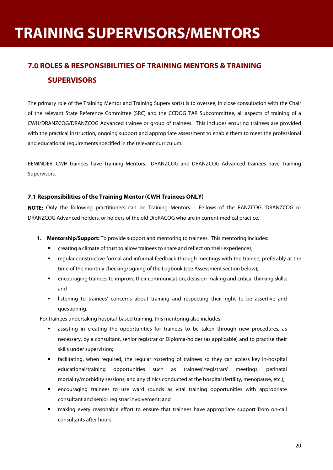# **TRAINING SUPERVISORS/MENTORS**

# **7.0 ROLES & RESPONSIBILITIES OF TRAINING MENTORS & TRAINING SUPERVISORS**

The primary role of the Training Mentor and Training Supervisor(s) is to oversee, in close consultation with the Chair of the relevant State Reference Committee (SRC) and the CCDOG TAR Subcommittee, all aspects of training of a CWH/DRANZCOG/DRANZCOG Advanced trainee or group of trainees. This includes ensuring trainees are provided with the practical instruction, ongoing support and appropriate assessment to enable them to meet the professional and educational requirements specified in the relevant curriculum.

REMINDER: CWH trainees have Training Mentors. DRANZCOG and DRANZCOG Advanced trainees have Training Supervisors.

## **7.1 Responsibilities of the Training Mentor (CWH Trainees ONLY)**

**NOTE:** Only the following practitioners can be Training Mentors – Fellows of the RANZCOG, DRANZCOG or DRANZCOG Advanced holders, or holders of the old DipRACOG who are in current medical practice.

- **1. Mentorship/Support:** To provide support and mentoring to trainees. This mentoring includes:
	- creating a climate of trust to allow trainees to share and reflect on their experiences;
	- regular constructive formal and informal feedback through meetings with the trainee, preferably at the time of the monthly checking/signing of the Logbook (see Assessment section below);
	- encouraging trainees to improve their communication, decision-making and critical thinking skills; and
	- listening to trainees' concerns about training and respecting their right to be assertive and questioning.

For trainees undertaking hospital-based training, this mentoring also includes:

- assisting in creating the opportunities for trainees to be taken through new procedures, as necessary, by a consultant, senior registrar or Diploma-holder (as applicable) and to practise their skills under supervision;
- facilitating, when required, the regular rostering of trainees so they can access key in-hospital educational/training opportunities such as trainees'/registrars' meetings, perinatal mortality/morbidity sessions, and any clinics conducted at the hospital (fertility, menopause, etc.);
- encouraging trainees to use ward rounds as vital training opportunities with appropriate consultant and senior registrar involvement; and
- making every reasonable effort to ensure that trainees have appropriate support from on-call consultants after hours.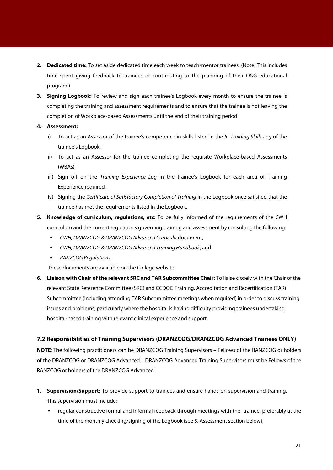- **2. Dedicated time:** To set aside dedicated time each week to teach/mentor trainees. (Note: This includes time spent giving feedback to trainees or contributing to the planning of their O&G educational program.)
- **3. Signing Logbook:** To review and sign each trainee's Logbook every month to ensure the trainee is completing the training and assessment requirements and to ensure that the trainee is not leaving the completion of Workplace-based Assessments until the end of their training period.
- **4. Assessment:**
	- i) To act as an Assessor of the trainee's competence in skills listed in the In-Training Skills Log of the trainee's Logbook,
	- ii) To act as an Assessor for the trainee completing the requisite Workplace-based Assessments (WBAs),
	- iii) Sign off on the Training Experience Log in the trainee's Logbook for each area of Training Experience required,
	- iv) Signing the Certificate of Satisfactory Completion of Training in the Logbook once satisfied that the trainee has met the requirements listed in the Logbook.
- **5. Knowledge of curriculum, regulations, etc:** To be fully informed of the requirements of the CWH curriculum and the current regulations governing training and assessment by consulting the following:
	- **EXECUTE:** CWH, DRANZCOG & DRANZCOG Advanced Curricula document,
	- CWH, DRANZCOG & DRANZCOG Advanced Training Handbook, and
	- **RANZCOG Requilations.**

These documents are available on the College website.

**6. Liaison with Chair of the relevant SRC and TAR Subcommittee Chair:** To liaise closely with the Chair of the relevant State Reference Committee (SRC) and CCDOG Training, Accreditation and Recertification (TAR) Subcommittee (including attending TAR Subcommittee meetings when required) in order to discuss training issues and problems, particularly where the hospital is having difficulty providing trainees undertaking hospital-based training with relevant clinical experience and support.

## **7.2 Responsibilities of Training Supervisors (DRANZCOG/DRANZCOG Advanced Trainees ONLY)**

**NOTE**: The following practitioners can be DRANZCOG Training Supervisors – Fellows of the RANZCOG or holders of the DRANZCOG or DRANZCOG Advanced. DRANZCOG Advanced Training Supervisors must be Fellows of the RANZCOG or holders of the DRANZCOG Advanced.

**1. Supervision/Support:** To provide support to trainees and ensure hands-on supervision and training.

This supervision must include:

 regular constructive formal and informal feedback through meetings with the trainee, preferably at the time of the monthly checking/signing of the Logbook (see 5. Assessment section below);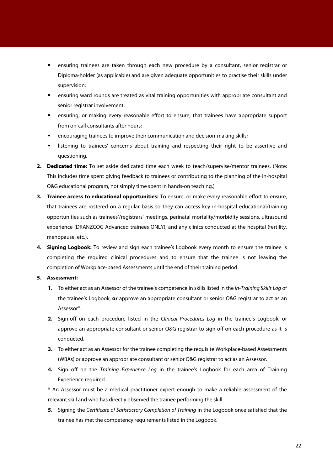- ensuring trainees are taken through each new procedure by a consultant, senior registrar or Diploma-holder (as applicable) and are given adequate opportunities to practise their skills under supervision;
- ensuring ward rounds are treated as vital training opportunities with appropriate consultant and senior registrar involvement;
- ensuring, or making every reasonable effort to ensure, that trainees have appropriate support from on-call consultants after hours;
- encouraging trainees to improve their communication and decision-making skills;
- listening to trainees' concerns about training and respecting their right to be assertive and questioning.
- **2. Dedicated time:** To set aside dedicated time each week to teach/supervise/mentor trainees. (Note: This includes time spent giving feedback to trainees or contributing to the planning of the in-hospital O&G educational program, not simply time spent in hands-on teaching.)
- **3. Trainee access to educational opportunities:** To ensure, or make every reasonable effort to ensure, that trainees are rostered on a regular basis so they can access key in-hospital educational/training opportunities such as trainees'/registrars' meetings, perinatal mortality/morbidity sessions, ultrasound experience (DRANZCOG Advanced trainees ONLY), and any clinics conducted at the hospital (fertility, menopause, etc.).
- **4. Signing Logbook:** To review and sign each trainee's Logbook every month to ensure the trainee is completing the required clinical procedures and to ensure that the trainee is not leaving the completion of Workplace-based Assessments until the end of their training period.
- **5. Assessment:**
	- **1.** To either act as an Assessor of the trainee's competence in skills listed in the In-Training Skills Log of the trainee's Logbook, **or** approve an appropriate consultant or senior O&G registrar to act as an Assessor\*.
	- **2.** Sign-off on each procedure listed in the Clinical Procedures Log in the trainee's Logbook, or approve an appropriate consultant or senior O&G registrar to sign off on each procedure as it is conducted.
	- **3.** To either act as an Assessor for the trainee completing the requisite Workplace-based Assessments (WBAs) or approve an appropriate consultant or senior O&G registrar to act as an Assessor.
	- **4.** Sign off on the Training Experience Log in the trainee's Logbook for each area of Training Experience required.

\* An Assessor must be a medical practitioner expert enough to make a reliable assessment of the relevant skill and who has directly observed the trainee performing the skill.

**5.** Signing the Certificate of Satisfactory Completion of Training in the Logbook once satisfied that the trainee has met the competency requirements listed in the Logbook.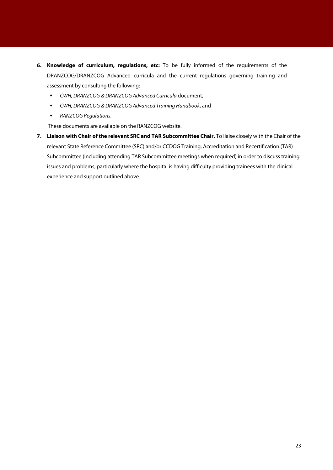- **6. Knowledge of curriculum, regulations, etc:** To be fully informed of the requirements of the DRANZCOG/DRANZCOG Advanced curricula and the current regulations governing training and assessment by consulting the following:
	- **EXECUTE:** CWH, DRANZCOG & DRANZCOG Advanced Curricula document,
	- CWH, DRANZCOG & DRANZCOG Advanced Training Handbook, and
	- **RANZCOG Requilations.**

These documents are available on the RANZCOG website.

**7. Liaison with Chair of the relevant SRC and TAR Subcommittee Chair.** To liaise closely with the Chair of the relevant State Reference Committee (SRC) and/or CCDOG Training, Accreditation and Recertification (TAR) Subcommittee (including attending TAR Subcommittee meetings when required) in order to discuss training issues and problems, particularly where the hospital is having difficulty providing trainees with the clinical experience and support outlined above.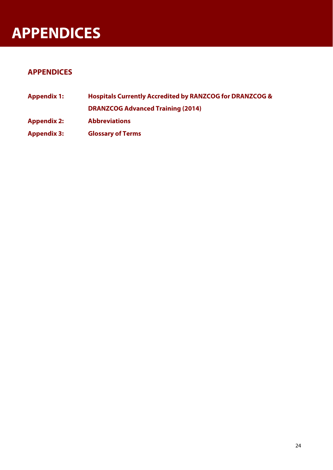# **APPENDICES**

# **APPENDICES**

**Appendix 1: Hospitals Currently Accredited by RANZCOG for DRANZCOG & DRANZCOG Advanced Training (2014) Appendix 2: Abbreviations Appendix 3: Glossary of Terms**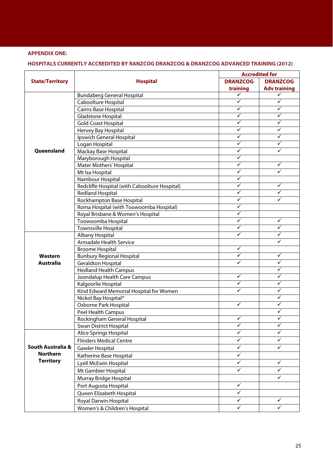## **APPENDIX ONE:**

## **HOSPITALS CURRENTLY ACCREDITED BY RANZCOG DRANZCOG & DRANZCOG ADVANCED TRAINING (2012)**

|                        | <b>Hospital</b>                               | <b>Accredited for</b> |                     |
|------------------------|-----------------------------------------------|-----------------------|---------------------|
| <b>State/Territory</b> |                                               | <b>DRANZCOG</b>       | <b>DRANZCOG</b>     |
|                        |                                               | training              | <b>Adv training</b> |
|                        | <b>Bundaberg General Hospital</b>             | ✓                     | ✓                   |
|                        | Caboolture Hospital                           | ✓                     | ✓                   |
|                        | Cairns Base Hospital                          | ✓                     | ✓                   |
|                        | Gladstone Hospital                            | ✓                     | ✓                   |
|                        | <b>Gold Coast Hospital</b>                    | $\checkmark$          | ✓                   |
|                        | Hervey Bay Hospital                           | ✓                     | ✓                   |
|                        | Ipswich General Hospital                      | ✓                     | ✓                   |
|                        | Logan Hospital                                | ✓                     | ✓                   |
| Queensland             | Mackay Base Hospital                          | ✓                     | ✓                   |
|                        | Maryborough Hospital                          | ✓                     |                     |
|                        | Mater Mothers' Hospital                       | $\checkmark$          | ✓                   |
|                        | Mt Isa Hospital                               | $\checkmark$          |                     |
|                        | Nambour Hospital                              | ✓                     |                     |
|                        | Redcliffe Hospital (with Caboolture Hospital) | ✓                     | ✓                   |
|                        | <b>Redland Hospital</b>                       | ✓                     | ✓                   |
|                        | Rockhampton Base Hospital                     | $\checkmark$          | ✓                   |
|                        | Roma Hospital (with Toowoomba Hospital)       | ✓                     |                     |
|                        | Royal Brisbane & Women's Hospital             | $\checkmark$          |                     |
|                        | Toowoomba Hospital                            | ✓                     | ✓                   |
|                        | <b>Townsville Hospital</b>                    | ✓                     | ✓                   |
|                        | Albany Hospital                               | ✓                     | ✓                   |
|                        | <b>Armadale Health Service</b>                |                       | ✓                   |
|                        | <b>Broome Hospital</b>                        | $\checkmark$          |                     |
| Western                | <b>Bunbury Regional Hospital</b>              | ✓                     | ✓                   |
| <b>Australia</b>       | <b>Geraldton Hospital</b>                     | ✓                     | ✓                   |
|                        | <b>Hedland Health Campus</b>                  |                       | ✓                   |
|                        | Joondalup Health Care Campus                  | ✓                     | ✓                   |
|                        | Kalgoorlie Hospital                           | $\checkmark$          | ✓                   |
|                        | Kind Edward Memorial Hospital for Women       | ✓                     | ✓                   |
|                        | Nickol Bay Hospital*                          |                       | ✓                   |
|                        | Osborne Park Hospital                         | $\checkmark$          | ✓                   |
|                        | Peel Health Campus                            | $\checkmark$          | ✓<br>✓              |
|                        | Rockingham General Hospital                   | $\checkmark$          | $\checkmark$        |
|                        | Swan District Hospital                        | ✓                     | ✓                   |
|                        | Alice Springs Hospital                        |                       |                     |
|                        | <b>Flinders Medical Centre</b>                | ✓                     | ✓                   |
| South Australia &      | Gawler Hospital                               | $\checkmark$          | ✓                   |
| <b>Northern</b>        | Katherine Base Hospital                       | $\checkmark$          |                     |
| <b>Territory</b>       | Lyell McEwin Hospital                         | ✓                     | ✓                   |
|                        | Mt Gambier Hospital                           | $\checkmark$          | ✓                   |
|                        | Murray Bridge Hospital                        |                       | ✓                   |
|                        | Port Augusta Hospital                         | $\checkmark$          |                     |
|                        | Queen Elizabeth Hospital                      | $\checkmark$          |                     |
|                        | Royal Darwin Hospital                         | $\checkmark$          | ✓                   |
|                        | Women's & Children's Hospital                 | $\checkmark$          | ✓                   |
|                        |                                               |                       |                     |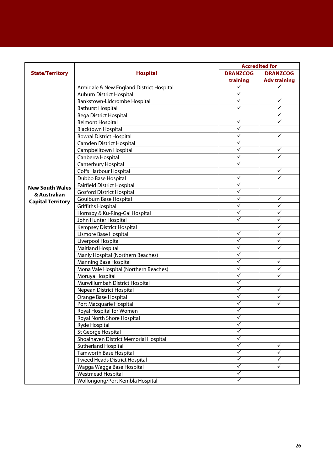|                          | <b>Accredited for</b>                    |                         |                     |
|--------------------------|------------------------------------------|-------------------------|---------------------|
| <b>State/Territory</b>   | <b>Hospital</b>                          | <b>DRANZCOG</b>         | <b>DRANZCOG</b>     |
|                          |                                          | training                | <b>Adv training</b> |
|                          | Armidale & New England District Hospital | ✓                       |                     |
|                          | <b>Auburn District Hospital</b>          | ✓                       |                     |
|                          | Bankstown-Lidcrombe Hospital             | ✓                       | ✓                   |
|                          | <b>Bathurst Hospital</b>                 | ✓                       | ✓                   |
|                          | <b>Bega District Hospital</b>            |                         | ✓                   |
|                          | <b>Belmont Hospital</b>                  | ✓                       | ✓                   |
|                          | <b>Blacktown Hospital</b>                | $\checkmark$            |                     |
|                          | Bowral District Hospital                 | $\checkmark$            | ✓                   |
|                          | <b>Camden District Hospital</b>          | $\checkmark$            |                     |
|                          | Campbelltown Hospital                    | ✓                       | ✓                   |
|                          | Canberra Hospital                        | $\checkmark$            | ✓                   |
|                          | Canterbury Hospital                      | $\overline{\checkmark}$ |                     |
|                          | Coffs Harbour Hospital                   |                         | ✓                   |
|                          | Dubbo Base Hospital                      | ✓                       | ✓                   |
| <b>New South Wales</b>   | <b>Fairfield District Hospital</b>       | ✓                       |                     |
| & Australian             | <b>Gosford District Hospital</b>         | ✓                       |                     |
| <b>Capital Territory</b> | Goulburn Base Hospital                   | $\checkmark$            | $\checkmark$        |
|                          | <b>Griffiths Hospital</b>                | $\checkmark$            | $\checkmark$        |
|                          | Hornsby & Ku-Ring-Gai Hospital           | ✓                       | ✓                   |
|                          | John Hunter Hospital                     | ✓                       | ✓                   |
|                          | Kempsey District Hospital                |                         | ✓                   |
|                          | Lismore Base Hospital                    | ✓                       | ✓                   |
|                          | Liverpool Hospital                       | $\checkmark$            | ✓                   |
|                          | Maitland Hospital                        | $\checkmark$            | ✓                   |
|                          | Manly Hospital (Northern Beaches)        | ✓                       |                     |
|                          | <b>Manning Base Hospital</b>             | ✓                       | ✓                   |
|                          | Mona Vale Hospital (Northern Beaches)    | ✓                       | ✓                   |
|                          | Moruya Hospital                          | $\checkmark$            | ✓                   |
|                          | Murwillumbah District Hospital           | $\checkmark$            |                     |
|                          | Nepean District Hospital                 | $\checkmark$            | ✓                   |
|                          | Orange Base Hospital                     | $\checkmark$            | ✓                   |
|                          | Port Macquarie Hospital                  | $\checkmark$            | ✓                   |
|                          | Royal Hospital for Women                 | ✓                       |                     |
|                          | Royal North Shore Hospital               | $\checkmark$            |                     |
|                          | Ryde Hospital                            | ✓                       |                     |
|                          | St George Hospital                       | ✓                       |                     |
|                          | Shoalhaven District Memorial Hospital    | ✓                       |                     |
|                          | <b>Sutherland Hospital</b>               | ✓                       | ✓                   |
|                          | <b>Tamworth Base Hospital</b>            | ✓                       | ✓                   |
|                          | <b>Tweed Heads District Hospital</b>     | $\checkmark$            | ✓                   |
|                          | Wagga Wagga Base Hospital                | $\checkmark$            | ✓                   |
|                          | Westmead Hospital                        | $\checkmark$            |                     |
|                          | Wollongong/Port Kembla Hospital          | $\checkmark$            |                     |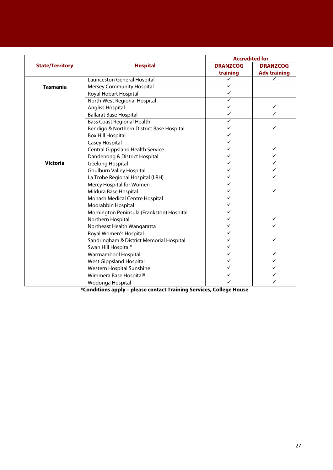|                        | <b>Hospital</b>                           | <b>Accredited for</b> |                     |
|------------------------|-------------------------------------------|-----------------------|---------------------|
| <b>State/Territory</b> |                                           | <b>DRANZCOG</b>       | <b>DRANZCOG</b>     |
|                        |                                           | training              | <b>Adv training</b> |
|                        | Launceston General Hospital               | $\checkmark$          | ✓                   |
| <b>Tasmania</b>        | <b>Mersey Community Hospital</b>          | $\checkmark$          |                     |
|                        | Royal Hobart Hospital                     | $\checkmark$          |                     |
|                        | North West Regional Hospital              | $\checkmark$          |                     |
|                        | Angliss Hospital                          | $\checkmark$          | ✓                   |
|                        | <b>Ballarat Base Hospital</b>             | $\checkmark$          | ✓                   |
|                        | <b>Bass Coast Regional Health</b>         | $\checkmark$          |                     |
|                        | Bendigo & Northern District Base Hospital | ✓                     | $\checkmark$        |
|                        | <b>Box Hill Hospital</b>                  | $\checkmark$          |                     |
|                        | Casey Hospital                            | $\checkmark$          |                     |
|                        | <b>Central Gippsland Health Service</b>   | $\checkmark$          | $\checkmark$        |
|                        | Dandenong & District Hospital             | $\checkmark$          | ✓                   |
| <b>Victoria</b>        | Geelong Hospital                          | $\checkmark$          | $\checkmark$        |
|                        | <b>Goulburn Valley Hospital</b>           | $\checkmark$          | ✓                   |
|                        | La Trobe Regional Hospital (LRH)          | $\checkmark$          | ✓                   |
|                        | Mercy Hospital for Women                  | $\checkmark$          |                     |
|                        | Mildura Base Hospital                     | $\checkmark$          | $\checkmark$        |
|                        | Monash Medical Centre Hospital            | $\checkmark$          |                     |
|                        | Moorabbin Hospital                        | $\checkmark$          |                     |
|                        | Mornington Peninsula (Frankston) Hospital | $\checkmark$          |                     |
|                        | Northern Hospital                         | $\checkmark$          | $\checkmark$        |
|                        | Northeast Health Wangaratta               | $\checkmark$          | ✓                   |
|                        | Royal Women's Hospital                    | $\checkmark$          |                     |
|                        | Sandringham & District Memorial Hospital  | $\checkmark$          | ✓                   |
|                        | Swan Hill Hospital*                       | $\checkmark$          |                     |
|                        | Warrnambool Hospital                      | $\checkmark$          | $\checkmark$        |
|                        | <b>West Gippsland Hospital</b>            | $\checkmark$          | ✓                   |
|                        | Western Hospital Sunshine                 | $\checkmark$          | ✓                   |
|                        | Wimmera Base Hospital*                    | $\checkmark$          | ✓                   |
|                        | Wodonga Hospital                          | ✓                     | ✓                   |

**\*Conditions apply – please contact Training Services, College House**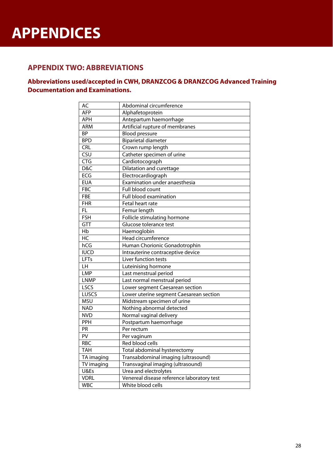# **APPENDICES**

## 2B **APPENDIX TWO: ABBREVIATIONS**

## **Abbreviations used/accepted in CWH, DRANZCOG & DRANZCOG Advanced Training Documentation and Examinations.**

| AC                             | Abdominal circumference                    |  |  |
|--------------------------------|--------------------------------------------|--|--|
| <b>AFP</b><br>Alphafetoprotein |                                            |  |  |
| <b>APH</b>                     | Antepartum haemorrhage                     |  |  |
| ARM                            | Artificial rupture of membranes            |  |  |
| <b>BP</b>                      | <b>Blood pressure</b>                      |  |  |
| <b>BPD</b>                     | <b>Biparietal diameter</b>                 |  |  |
| <b>CRL</b>                     | Crown rump length                          |  |  |
| CSU                            | Catheter specimen of urine                 |  |  |
| <b>CTG</b>                     | Cardiotocograph                            |  |  |
| D&C                            | Dilatation and curettage                   |  |  |
| ECG                            | Electrocardiograph                         |  |  |
| <b>EUA</b>                     | Examination under anaesthesia              |  |  |
| <b>FBC</b>                     | Full blood count                           |  |  |
| <b>FBE</b>                     | Full blood examination                     |  |  |
| <b>FHR</b>                     | Fetal heart rate                           |  |  |
| FL                             | Femur length                               |  |  |
| <b>FSH</b>                     | Follicle stimulating hormone               |  |  |
| GTT                            | Glucose tolerance test                     |  |  |
| Hb                             | Haemoglobin                                |  |  |
| $\overline{\text{HC}}$         | Head circumference                         |  |  |
| hCG                            | Human Chorionic Gonadotrophin              |  |  |
| <b>IUCD</b>                    | Intrauterine contraceptive device          |  |  |
| LFTs                           | Liver function tests                       |  |  |
| LH                             | Luteinising hormone                        |  |  |
| LMP                            | Last menstrual period                      |  |  |
| <b>LNMP</b>                    | Last normal menstrual period               |  |  |
| LSCS                           | Lower segment Caesarean section            |  |  |
| <b>LUSCS</b>                   | Lower uterine segment Caesarean section    |  |  |
| <b>MSU</b>                     | Midstream specimen of urine                |  |  |
| <b>NAD</b>                     | Nothing abnormal detected                  |  |  |
| <b>NVD</b>                     | Normal vaginal delivery                    |  |  |
| PPH                            | Postpartum haemorrhage                     |  |  |
| PR                             | Per rectum                                 |  |  |
| PV                             | Per vaginum                                |  |  |
| <b>RBC</b>                     | Red blood cells                            |  |  |
| <b>TAH</b>                     | Total abdominal hysterectomy               |  |  |
| TA imaging                     | Transabdominal imaging (ultrasound)        |  |  |
| TV imaging                     | Transvaginal imaging (ultrasound)          |  |  |
| U&Es                           | Urea and electrolytes                      |  |  |
| <b>VDRL</b>                    | Venereal disease reference laboratory test |  |  |
| <b>WBC</b>                     | White blood cells                          |  |  |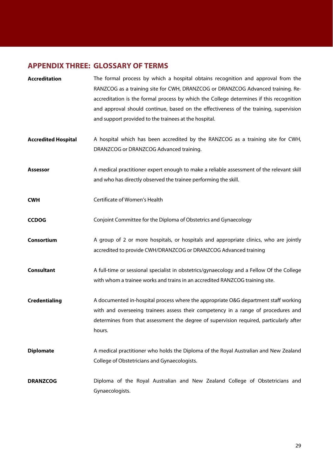# **APPENDIX THREE: GLOSSARY OF TERMS**

| <b>Accreditation</b>       | The formal process by which a hospital obtains recognition and approval from the<br>RANZCOG as a training site for CWH, DRANZCOG or DRANZCOG Advanced training. Re-<br>accreditation is the formal process by which the College determines if this recognition<br>and approval should continue, based on the effectiveness of the training, supervision<br>and support provided to the trainees at the hospital. |
|----------------------------|------------------------------------------------------------------------------------------------------------------------------------------------------------------------------------------------------------------------------------------------------------------------------------------------------------------------------------------------------------------------------------------------------------------|
| <b>Accredited Hospital</b> | A hospital which has been accredited by the RANZCOG as a training site for CWH,<br>DRANZCOG or DRANZCOG Advanced training.                                                                                                                                                                                                                                                                                       |
| <b>Assessor</b>            | A medical practitioner expert enough to make a reliable assessment of the relevant skill<br>and who has directly observed the trainee performing the skill.                                                                                                                                                                                                                                                      |
| <b>CWH</b>                 | Certificate of Women's Health                                                                                                                                                                                                                                                                                                                                                                                    |
| <b>CCDOG</b>               | Conjoint Committee for the Diploma of Obstetrics and Gynaecology                                                                                                                                                                                                                                                                                                                                                 |
| Consortium                 | A group of 2 or more hospitals, or hospitals and appropriate clinics, who are jointly<br>accredited to provide CWH/DRANZCOG or DRANZCOG Advanced training                                                                                                                                                                                                                                                        |
| <b>Consultant</b>          | A full-time or sessional specialist in obstetrics/gynaecology and a Fellow Of the College<br>with whom a trainee works and trains in an accredited RANZCOG training site.                                                                                                                                                                                                                                        |
| <b>Credentialing</b>       | A documented in-hospital process where the appropriate O&G department staff working<br>with and overseeing trainees assess their competency in a range of procedures and<br>determines from that assessment the degree of supervision required, particularly after<br>hours.                                                                                                                                     |
| <b>Diplomate</b>           | A medical practitioner who holds the Diploma of the Royal Australian and New Zealand<br>College of Obstetricians and Gynaecologists.                                                                                                                                                                                                                                                                             |
| <b>DRANZCOG</b>            | Diploma of the Royal Australian and New Zealand College of Obstetricians and<br>Gynaecologists.                                                                                                                                                                                                                                                                                                                  |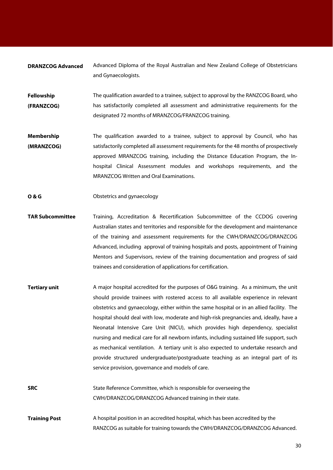**DRANZCOG Advanced** Advanced Diploma of the Royal Australian and New Zealand College of Obstetricians and Gynaecologists.

- **Fellowship (FRANZCOG)**  The qualification awarded to a trainee, subject to approval by the RANZCOG Board, who has satisfactorily completed all assessment and administrative requirements for the designated 72 months of MRANZCOG/FRANZCOG training.
- **Membership (MRANZCOG)**  The qualification awarded to a trainee, subject to approval by Council, who has satisfactorily completed all assessment requirements for the 48 months of prospectively approved MRANZCOG training, including the Distance Education Program, the Inhospital Clinical Assessment modules and workshops requirements, and the MRANZCOG Written and Oral Examinations.
- **O & G Obstetrics and gynaecology**
- **TAR Subcommittee** Training, Accreditation & Recertification Subcommittee of the CCDOG covering Australian states and territories and responsible for the development and maintenance of the training and assessment requirements for the CWH/DRANZCOG/DRANZCOG Advanced, including approval of training hospitals and posts, appointment of Training Mentors and Supervisors, review of the training documentation and progress of said trainees and consideration of applications for certification.
- **Tertiary unit** A major hospital accredited for the purposes of O&G training. As a minimum, the unit should provide trainees with rostered access to all available experience in relevant obstetrics and gynaecology, either within the same hospital or in an allied facility. The hospital should deal with low, moderate and high-risk pregnancies and, ideally, have a Neonatal Intensive Care Unit (NICU), which provides high dependency, specialist nursing and medical care for all newborn infants, including sustained life support, such as mechanical ventilation. A tertiary unit is also expected to undertake research and provide structured undergraduate/postgraduate teaching as an integral part of its service provision, governance and models of care.
- **SRC** State Reference Committee, which is responsible for overseeing the CWH/DRANZCOG/DRANZCOG Advanced training in their state.
- **Training Post** A hospital position in an accredited hospital, which has been accredited by the RANZCOG as suitable for training towards the CWH/DRANZCOG/DRANZCOG Advanced.